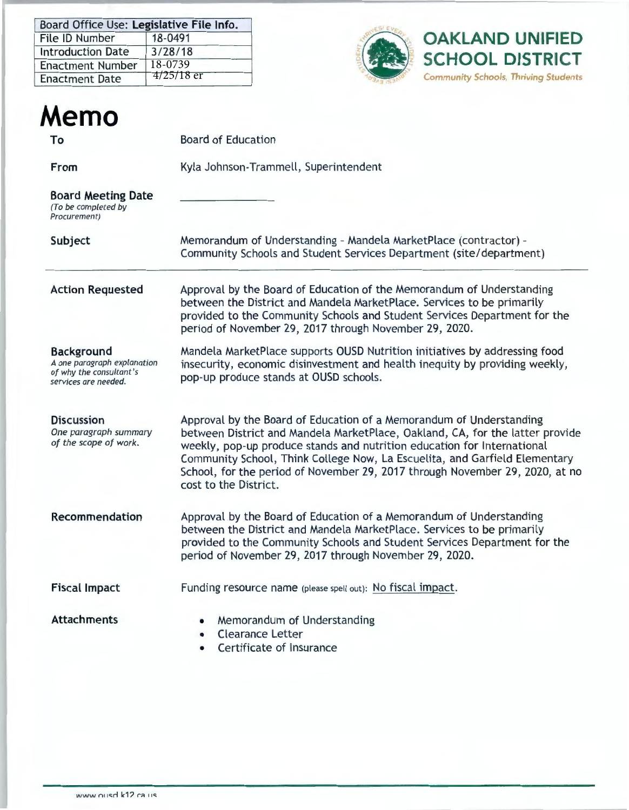| Board Office Use: Legislative File Info. |              |  |  |  |  |
|------------------------------------------|--------------|--|--|--|--|
| File ID Number                           | 18-0491      |  |  |  |  |
| <b>Introduction Date</b>                 | 3/28/18      |  |  |  |  |
| <b>Enactment Number</b>                  | 18-0739      |  |  |  |  |
| <b>Enactment Date</b>                    | $4/25/18$ er |  |  |  |  |



| Memo                                                                                                |                                                                                                                                                                                                                                                                                                                                                                                                                        |  |  |  |  |  |
|-----------------------------------------------------------------------------------------------------|------------------------------------------------------------------------------------------------------------------------------------------------------------------------------------------------------------------------------------------------------------------------------------------------------------------------------------------------------------------------------------------------------------------------|--|--|--|--|--|
| To                                                                                                  | <b>Board of Education</b>                                                                                                                                                                                                                                                                                                                                                                                              |  |  |  |  |  |
| From                                                                                                | Kyla Johnson-Trammell, Superintendent                                                                                                                                                                                                                                                                                                                                                                                  |  |  |  |  |  |
| <b>Board Meeting Date</b><br>(To be completed by<br>Procurement)                                    |                                                                                                                                                                                                                                                                                                                                                                                                                        |  |  |  |  |  |
| Subject                                                                                             | Memorandum of Understanding - Mandela MarketPlace (contractor) -<br>Community Schools and Student Services Department (site/department)                                                                                                                                                                                                                                                                                |  |  |  |  |  |
| <b>Action Requested</b>                                                                             | Approval by the Board of Education of the Memorandum of Understanding<br>between the District and Mandela MarketPlace. Services to be primarily<br>provided to the Community Schools and Student Services Department for the<br>period of November 29, 2017 through November 29, 2020.                                                                                                                                 |  |  |  |  |  |
| <b>Background</b><br>A one paragraph explanation<br>of why the consultant's<br>services are needed. | Mandela MarketPlace supports OUSD Nutrition initiatives by addressing food<br>insecurity, economic disinvestment and health inequity by providing weekly,<br>pop-up produce stands at OUSD schools.                                                                                                                                                                                                                    |  |  |  |  |  |
| <b>Discussion</b><br>One paragraph summary<br>of the scope of work.                                 | Approval by the Board of Education of a Memorandum of Understanding<br>between District and Mandela MarketPlace, Oakland, CA, for the latter provide<br>weekly, pop-up produce stands and nutrition education for International<br>Community School, Think College Now, La Escuelita, and Garfield Elementary<br>School, for the period of November 29, 2017 through November 29, 2020, at no<br>cost to the District. |  |  |  |  |  |
| <b>Recommendation</b>                                                                               | Approval by the Board of Education of a Memorandum of Understanding<br>between the District and Mandela MarketPlace. Services to be primarily<br>provided to the Community Schools and Student Services Department for the<br>period of November 29, 2017 through November 29, 2020.                                                                                                                                   |  |  |  |  |  |
| <b>Fiscal Impact</b>                                                                                | Funding resource name (please spell out): No fiscal impact.                                                                                                                                                                                                                                                                                                                                                            |  |  |  |  |  |
| <b>Attachments</b>                                                                                  | Memorandum of Understanding<br><b>Clearance Letter</b><br>Certificate of Insurance                                                                                                                                                                                                                                                                                                                                     |  |  |  |  |  |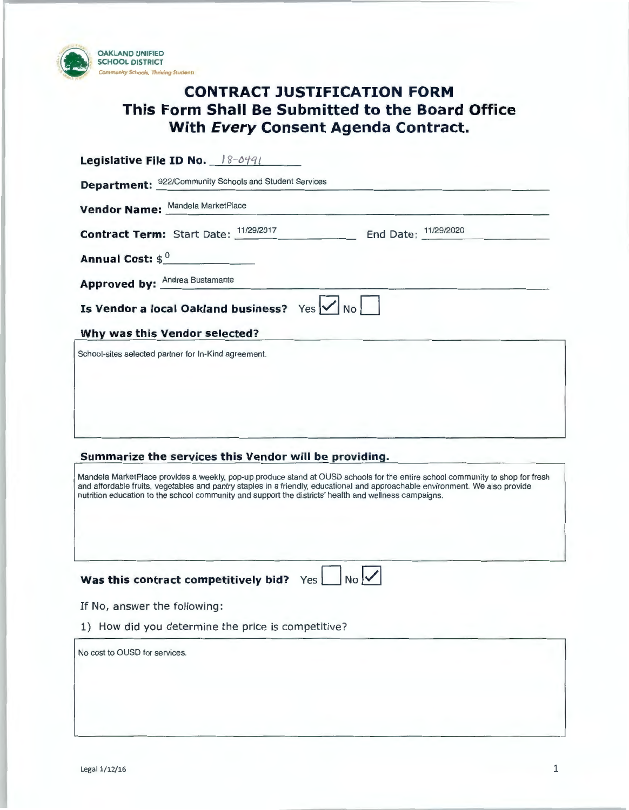

### **CONTRACT JUSTIFICATION FORM This Form Shall Be Submitted to the Board Office With Every Consent Agenda Contract.**

| Legislative File ID No. 18-0491                                                                                                                                                                                                                                                                                         |
|-------------------------------------------------------------------------------------------------------------------------------------------------------------------------------------------------------------------------------------------------------------------------------------------------------------------------|
| <b>Department:</b> 922/Community Schools and Student Services                                                                                                                                                                                                                                                           |
| Vendor Name: Mandela MarketPlace                                                                                                                                                                                                                                                                                        |
| End Date: 11/29/2020<br><b>Contract Term:</b> Start Date: 11/29/2017                                                                                                                                                                                                                                                    |
| Annual Cost: $\oint_0$                                                                                                                                                                                                                                                                                                  |
| <b>Approved by: Andrea Bustamante</b>                                                                                                                                                                                                                                                                                   |
| Is Vendor a local Oakland business? Yes $\sqrt{N}$                                                                                                                                                                                                                                                                      |
| Why was this Vendor selected?                                                                                                                                                                                                                                                                                           |
| School-sites selected partner for In-Kind agreement.                                                                                                                                                                                                                                                                    |
|                                                                                                                                                                                                                                                                                                                         |
|                                                                                                                                                                                                                                                                                                                         |
|                                                                                                                                                                                                                                                                                                                         |
|                                                                                                                                                                                                                                                                                                                         |
| Summarize the services this Vendor will be providing.<br>Mandela MarketPlace provides a weekly, pop-up produce stand at OUSD schools for the entire school community to shop for fresh<br>and affordable fruits, vegetables and pantry staples in a friendly, educational and approachable environment. We also provide |
| nutrition education to the school community and support the districts' health and wellness campaigns.                                                                                                                                                                                                                   |
|                                                                                                                                                                                                                                                                                                                         |
|                                                                                                                                                                                                                                                                                                                         |
| Was this contract competitively bid? Yes<br>$No$                                                                                                                                                                                                                                                                        |
| If No, answer the following:                                                                                                                                                                                                                                                                                            |
| 1) How did you determine the price is competitive?                                                                                                                                                                                                                                                                      |
| No cost to OUSD for services.                                                                                                                                                                                                                                                                                           |
|                                                                                                                                                                                                                                                                                                                         |
|                                                                                                                                                                                                                                                                                                                         |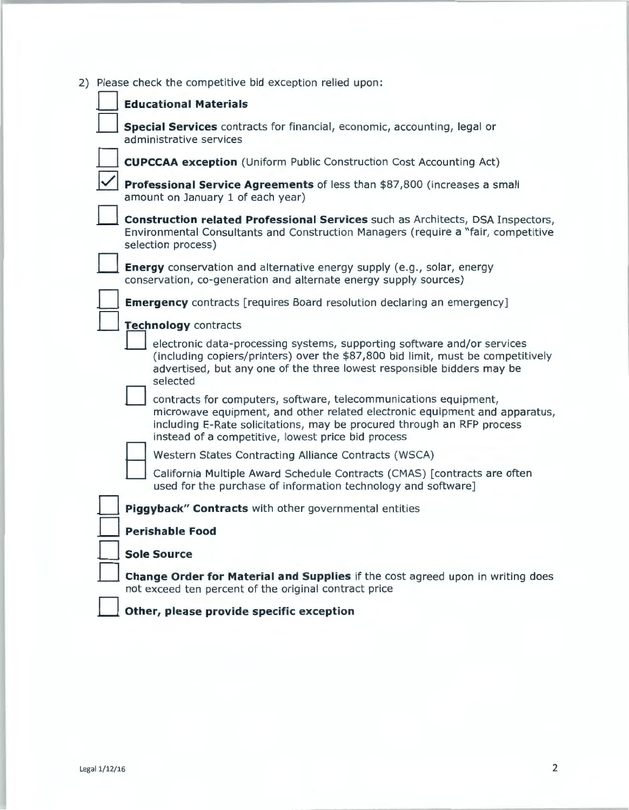|                      | 2) Please check the competitive bid exception relied upon: |                                                                                                                                                                                                                                                                                |  |  |  |  |  |
|----------------------|------------------------------------------------------------|--------------------------------------------------------------------------------------------------------------------------------------------------------------------------------------------------------------------------------------------------------------------------------|--|--|--|--|--|
|                      |                                                            | <b>Educational Materials</b>                                                                                                                                                                                                                                                   |  |  |  |  |  |
|                      |                                                            | Special Services contracts for financial, economic, accounting, legal or<br>administrative services                                                                                                                                                                            |  |  |  |  |  |
|                      |                                                            | <b>CUPCCAA exception</b> (Uniform Public Construction Cost Accounting Act)                                                                                                                                                                                                     |  |  |  |  |  |
|                      |                                                            | Professional Service Agreements of less than \$87,800 (increases a small<br>amount on January 1 of each year)                                                                                                                                                                  |  |  |  |  |  |
|                      |                                                            | Construction related Professional Services such as Architects, DSA Inspectors,<br>Environmental Consultants and Construction Managers (require a "fair, competitive<br>selection process)                                                                                      |  |  |  |  |  |
|                      |                                                            | <b>Energy</b> conservation and alternative energy supply (e.g., solar, energy<br>conservation, co-generation and alternate energy supply sources)                                                                                                                              |  |  |  |  |  |
|                      |                                                            | <b>Emergency</b> contracts [requires Board resolution declaring an emergency]                                                                                                                                                                                                  |  |  |  |  |  |
| Technology contracts |                                                            |                                                                                                                                                                                                                                                                                |  |  |  |  |  |
|                      |                                                            | electronic data-processing systems, supporting software and/or services<br>(including copiers/printers) over the \$87,800 bid limit, must be competitively<br>advertised, but any one of the three lowest responsible bidders may be<br>selected                               |  |  |  |  |  |
|                      |                                                            | contracts for computers, software, telecommunications equipment,<br>microwave equipment, and other related electronic equipment and apparatus,<br>including E-Rate solicitations, may be procured through an RFP process<br>instead of a competitive, lowest price bid process |  |  |  |  |  |
|                      |                                                            | Western States Contracting Alliance Contracts (WSCA)                                                                                                                                                                                                                           |  |  |  |  |  |
|                      |                                                            | California Multiple Award Schedule Contracts (CMAS) [contracts are often<br>used for the purchase of information technology and software]                                                                                                                                      |  |  |  |  |  |
|                      |                                                            | Piggyback" Contracts with other governmental entities                                                                                                                                                                                                                          |  |  |  |  |  |
|                      |                                                            | <b>Perishable Food</b>                                                                                                                                                                                                                                                         |  |  |  |  |  |
|                      |                                                            | <b>Sole Source</b>                                                                                                                                                                                                                                                             |  |  |  |  |  |
|                      |                                                            | Change Order for Material and Supplies if the cost agreed upon in writing does<br>not exceed ten percent of the original contract price                                                                                                                                        |  |  |  |  |  |
|                      |                                                            | Other, please provide specific exception                                                                                                                                                                                                                                       |  |  |  |  |  |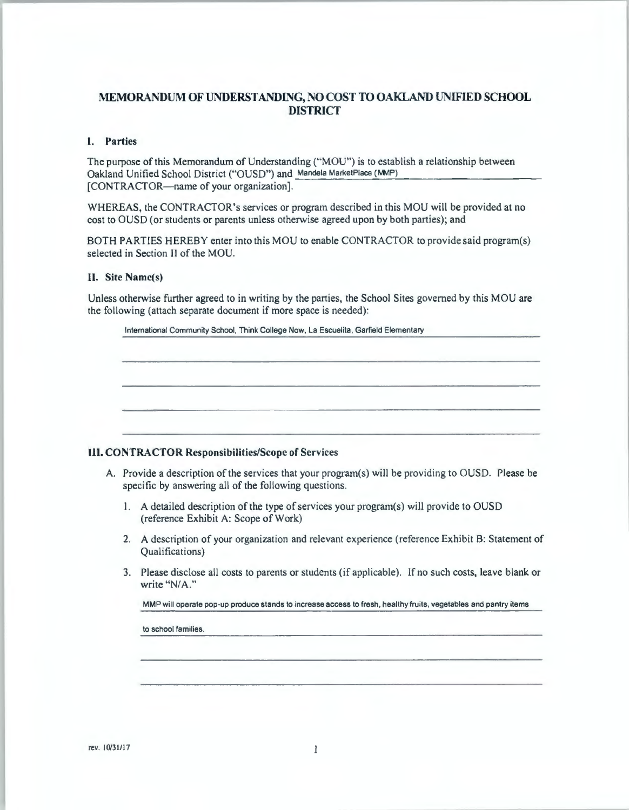#### **MEMORANDUM OF UNDERSTANDING, NO COST TO OAKLAND UNIFIED SCHOOL DISTRICT**

#### I. **Parties**

The purpose of this Memorandum of Understanding ("MOU") is to establish a relationship between Oakland Unified School District ("OUSD") and Mandela MarketPlace (MMP) [CONTRACTOR-name of your organization].

WHEREAS, the CONTRACTOR's services or program described in this MOU will be provided at no cost to OUSD (or students or parents unless otherwise agreed upon by both parties); and

BOTH PARTIES HEREBY enter into this MOU to enable CONTRACTOR to provide said program(s) selected in Section II of the MOU.

#### II. **Site Name(s)**

Unless otherwise further agreed to in writing by the parties, the School Sites governed by this MOU are the following (attach separate document if more space is needed):

|                                                                                                                                                             | International Community School, Think College Now, La Escuelita, Garfield Elementary                                        |  |  |  |  |
|-------------------------------------------------------------------------------------------------------------------------------------------------------------|-----------------------------------------------------------------------------------------------------------------------------|--|--|--|--|
|                                                                                                                                                             |                                                                                                                             |  |  |  |  |
|                                                                                                                                                             |                                                                                                                             |  |  |  |  |
|                                                                                                                                                             | <b>III. CONTRACTOR Responsibilities/Scope of Services</b>                                                                   |  |  |  |  |
| A. Provide a description of the services that your program(s) will be providing to OUSD. Please be<br>specific by answering all of the following questions. |                                                                                                                             |  |  |  |  |
| 1.                                                                                                                                                          | A detailed description of the type of services your program(s) will provide to OUSD<br>(reference Exhibit A: Scope of Work) |  |  |  |  |
| 2.                                                                                                                                                          | A description of your organization and relevant experience (reference Exhibit B: Statement of<br>Qualifications)            |  |  |  |  |
| 3.                                                                                                                                                          | Please disclose all costs to parents or students (if applicable). If no such costs, leave blank or<br>write "N/A."          |  |  |  |  |
|                                                                                                                                                             | MMP will operate pop-up produce stands to increase access to fresh, healthy fruits, vegetables and pantry items             |  |  |  |  |
|                                                                                                                                                             |                                                                                                                             |  |  |  |  |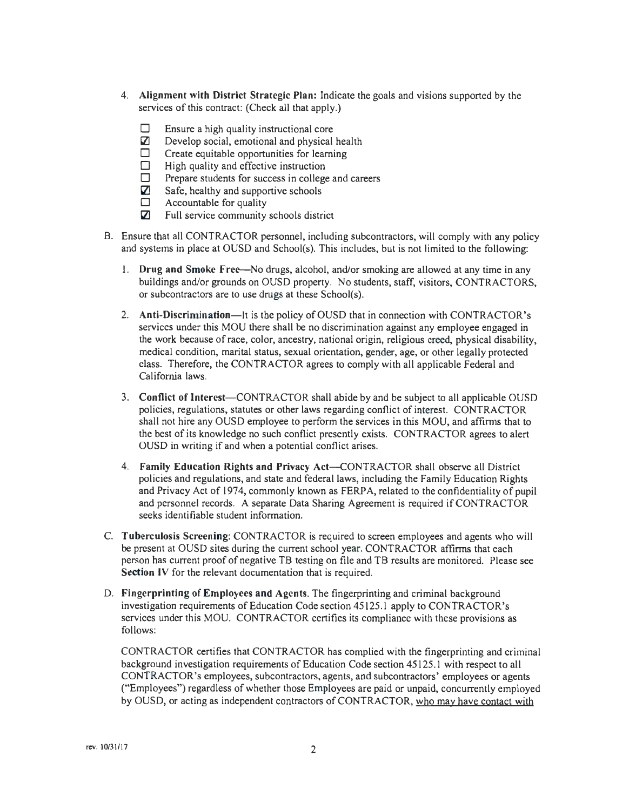- 4. **Alignment with District Strategic Plan:** Indicate the goals and visions supported by the services of this contract: (Check all that apply.)
	- $\square$  Ensure a high quality instructional core<br>  $\square$  Develop social, emotional and physical
	- $\Box$  Develop social, emotional and physical health  $\Box$  Create equitable opportunities for learning
	- $\square$  Create equitable opportunities for learning  $\square$  High quality and effective instruction
	- $\Box$  High quality and effective instruction  $\Box$  Prepare students for success in college
	- $\Box$  Prepare students for success in college and careers  $\boxtimes$  Safe, healthy and supportive schools
	- $\Box$  Safe, healthy and supportive schools<br> $\Box$  Accountable for quality
	- $\Box$  Accountable for quality<br> $\Box$  Full service community
	- Full service community schools district
- B. Ensure that all CONTRACTOR personnel, including subcontractors, will comply with any policy and systems in place at OUSD and School(s). This includes, but is not limited to the following:
	- l . **Drug and Smoke Free--No** drugs, alcohol, and/or smoking are allowed at any time in any buildings and/or grounds on OUSD property. No students, staff, visitors, CONTRACTORS, or subcontractors are to use drugs at these School(s).
	- 2. **Anti-Discrimination—**It is the policy of OUSD that in connection with CONTRACTOR's services under this MOU there shall be no discrimination against any employee engaged in the work because ofrace, color, ancestry, national origin, religious creed, physical disability, medical condition, marital status, sexual orientation, gender, age, or other legally protected class. Therefore, the CONTRACTOR agrees to comply with all applicable Federal and California laws.
	- 3. **Conflict of** Interest-CONTRACTOR shall abide by and be subject to all applicable OUSD policies, regulations, statutes or other laws regarding conflict of interest. CONTRACTOR shall not hire any OUSD employee to perform the services in this MOU, and affirms that to the best of its knowledge no such conflict presently exists. CONTRACTOR agrees to alert OUSD in writing if and when a potential conflict arises.
	- 4. **Family Education Rights and Privacy** Act--CONTRACTOR shall observe all District policies and regulations, and state and federal laws, including the Family Education Rights and Privacy Act of 1974, commonly known as FERP A, related to the confidentiality of pupil and personnel records. A separate Data Sharing Agreement is required if CONTRACTOR seeks identifiable student information.
- C. **Tuberculosis Screening:** CONTRACTOR is required to screen employees and agents who will be present at OUSD sites during the current school year. CONTRACTOR affirms that each person has current proof of negative TB testing on file and TB results are monitored. Please see **Section IV** for the relevant documentation that is required.
- D. **Fingerprinting of Employees and Agents.** The fingerprinting and criminal background investigation requirements of Education Code section 45125.1 apply to CONTRACTOR's services under this MOU. CONTRACTOR certifies its compliance with these provisions as follows:

CONTRACTOR certifies that CONTRACTOR has complied with the fingerprinting and criminal background investigation requirements of Education Code section 45125. J with respect to all CONTRACTOR's employees, subcontractors, agents, and subcontractors' employees or agents ("Employees") regardless of whether those Employees are paid or unpaid, concurrently employed by OUSD, or acting as independent contractors of CONTRACTOR, who may have contact with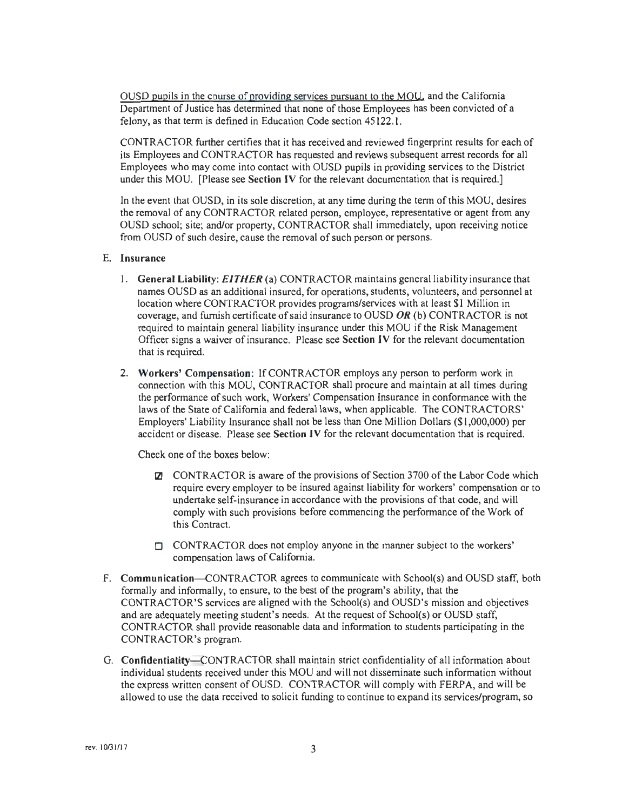OUSD gupils in the course of providing services pursuant to the MOU. and the California Department of Justice has determined that none of those Employees has been convicted of a felony, as that term is defined in Education Code section 45122.1.

CONTRACTOR further certifies that it has received and reviewed fingerprint results for each of its Employees and CONTRACTOR has requested and reviews subsequent arrest records for all Employees who may come into contact with OUSD pupils in providing services to the District under this MOU. [Please see **Section JV** for the relevant documentation that is required.]

In the event that OUSD, in its sole discretion, at any time during the term of this MOU, desires the removal of any CONTRACTOR related person, employee, representative or agent from any OUSD school; site; and/or property, CONTRACTOR shall immediately, upon receiving notice from OUSD of such desire, cause the removal of such person or persons.

#### E. **Insurance**

- 1. **General Liability:** *EITHER* (a) CONTRACTOR maintains general liability insurance that names OUSD as an additional insured, for operations, students, volunteers, and personnel at location where CONTRACTOR provides programs/services with at least \$1 Million in coverage, and furnish certificate of said insurance to OUSD **OR** (b) CONTRACTOR is not required to maintain general liability insurance under this MOU if the Risk Management Officer signs a waiver of insurance. Please see **Section IV** for the relevant documentation that is required.
- 2. **Workers' Compensation:** If CONTRACTOR employs any person to perform work in connection with this MOU, CONTRACTOR shall procure and maintain at all times during the performance of such work, Workers' Compensation Insurance in conformance with the laws of the State of California and federal laws, when applicable. The CONTRACTORS' Employers' Liability Insurance shall not be less than One Mi Ilion Dollars (\$ I ,000,000) per accident or disease. Please see **Section JV** for the relevant documentation that is required.

Check one of the boxes below:

- **12J CONTRACTOR** is aware of the provisions of Section 3700 of the Labor Code which require every employer to be insured against liability for workers' compensation or to undertake self-insurance in accordance with the provisions of that code, and will comply with such provisions before commencing the performance of the Work of this Contract.
- $\Box$  CONTRACTOR does not employ anyone in the manner subject to the workers' compensation laws of California.
- F. Communication-CONTRACTOR agrees to communicate with School(s) and OUSD staff, both formally and informally, to ensure, to the best of the program's ability, that the CONTRACTOR'S services are aligned with the School(s) and OUSD's mission and objectives and are adequately meeting student's needs. At the request of School(s) or OUSD staff, CONTRACTOR shall provide reasonable data and information to students participating in the CONTRACTOR's program.
- G. Confidentiality-CONTRACTOR shall maintain strict confidentiality of all information about individual students received under this MOU and will not disseminate such information without the express written consent of OUSD. CONTRACTOR will comply with FERPA, and will be allowed to use the data received to solicit funding to continue to expand its services/program, so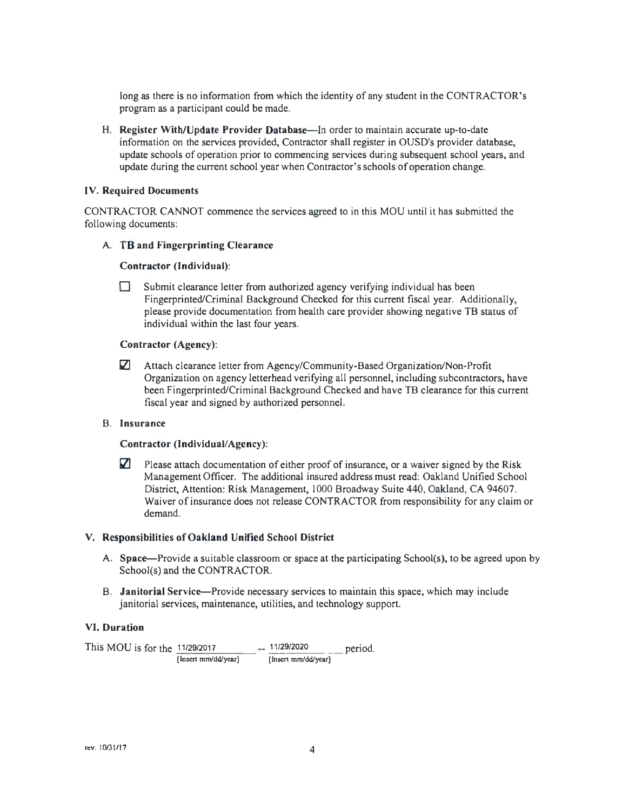long as there is no information from which the identity of any student in the CONTRACTOR's program as a participant could be made.

H. **Register With/Update Provider Database-In** order to maintain accurate up-to-date information on the services provided, Contractor shall register in OUSD's provider database, update schools of operation prior to commencing services during subsequent school years, and update during the current school year when Contractor's schools of operation change.

#### **IV. Required Documents**

CONTRACTOR CANNOT commence the services agreed to in this MOU until it has submitted the following documents:

#### **A. TB and Fingerprinting Clearance**

#### **Contractor (Individual):**

D Submit clearance letter from authorized agency verifying individual has been Fingerprinted/Criminal Background Checked for this current fiscal year. Additionally, please provide documentation from health care provider showing negative TB status of individual within the last four years.

#### **Contractor (Agency):**

**0** Attach clearance letter from Agency/Community-Based Organization/Non-Profit Organization on agency letterhead verifying all personnel, including subcontractors, have been Fingerprinted/Criminal Background Checked and have TB clearance for this current fiscal year and signed by authorized personnel.

#### B. **Insurance**

#### Contractor (Individual/Agency):

**2** Please attach documentation of either proof of insurance, or a waiver signed by the Risk Management Officer. The additional insured address must read: Oakland Unified School District, Attention: Risk Management, 1000 Broadway Suite 440, Oakland, CA 94607. Waiver of insurance does not release CONTRACTOR from responsibility for any claim or demand.

#### **V. Responsibilities of Oakland Unified School District**

- **A. Space-Provide** a suitable classroom or space at the participating School(s), to be agreed upon by School(s) and the CONTRACTOR.
- 8 . **Janitorial Service-Provide** necessary services to maintain this space, which may include janitorial services, maintenance, utilities, and technology support.

#### **VI. Duration**

This MOU is for the  $\frac{11/29/2017}{\text{[Insert mm/dd/year]}}$  --  $\frac{11/29/2020}{\text{[Insert mm/dd/year]}}$  period. [lnsert mm/dd/year]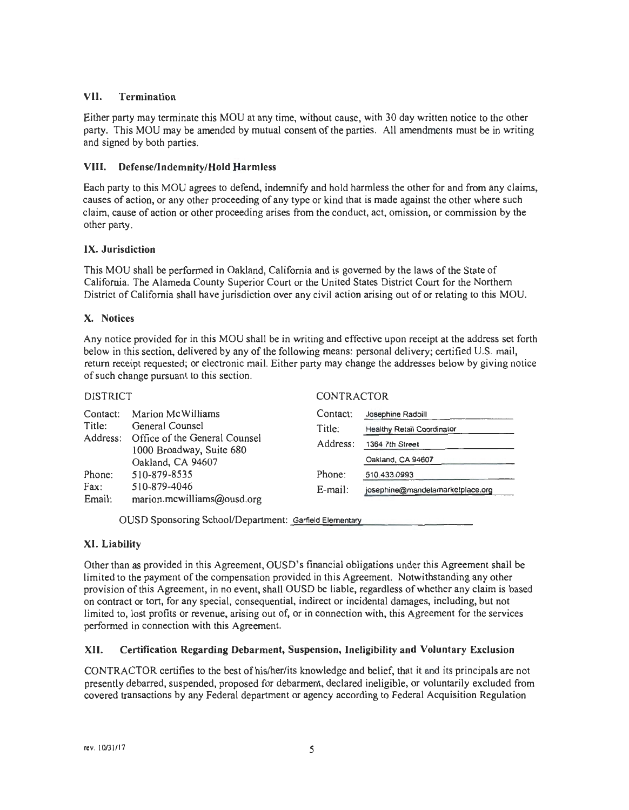#### **VII. Termination**

Either party may terminate this MOU at any time, without cause, with 30 day written notice to the other party. This MOU may be amended by mutual consent of the parties. All amendments must be in writing and signed by both parties.

#### **VIII. Defense/Indemnity/Hold Harmless**

Each party to this MOU agrees to defend, indemnify and hold harmless the other for and from any claims, causes of action, or any other proceeding of any type or kind that is made against the other where such claim, cause of action or other proceeding arises from the conduct, act, omission, or commission by the other party.

#### **IX. Jurisdiction**

This MOU shall be performed in Oakland, California and is governed by the laws of the State of California. The Alameda County Superior Court or the United States District Court for the Northern District of California shall have jurisdiction over any civil action arising out of or relating to this MOU.

#### **X. Notices**

Any notice provided for in this MOU shall be in writing and effective upon receipt at the address set forth below in this section, delivered by any of the following means: personal delivery; certified U.S. mail, return receipt requested; or electronic mail. Either party may change the addresses below by giving notice of such change pursuant to this section.

#### DISTRICT CONTRACTOR

| Contact:<br>Title:<br>Address: | Marion McWilliams<br>General Counsel<br>Office of the General Counsel<br>1000 Broadway, Suite 680<br>Oakland, CA 94607 | Contact:<br>Title:<br>Address: | Josephine Radbill<br><b>Healthy Retail Coordinator</b><br>1364 7th Street<br>Oakland, CA 94607 |  |  |
|--------------------------------|------------------------------------------------------------------------------------------------------------------------|--------------------------------|------------------------------------------------------------------------------------------------|--|--|
| Phone:                         | 510-879-8535                                                                                                           | Phone:                         | 510.433.0993                                                                                   |  |  |
| Fax:<br>Email:                 | 510-879-4046<br>marion.mcwilliams@ousd.org                                                                             | $E$ -mail:                     | josephine@mandelamarketplace.org                                                               |  |  |

OUSD Sponsoring School/Department: Garfield Elementary

#### **XI. Liability**

Other than as provided in this Agreement, OUSD's financial obligations under this Agreement shall be limited to the payment of the compensation provided in this Agreement. Notwithstanding any other provision of this Agreement, in no event, shall OUSD be liable, regardless of whether any claim is based on contract or tort, for any special, consequential, indirect or incidental damages, including, but not limited to, lost profits or revenue, arising out of, or in connection with, this Agreement for the services performed in connection with this Agreement.

#### **XII. Certification Regarding Debarment, Suspension, Ineligibility and Voluntary Exclusion**

CONTRACTOR certifies to the best of his/her/its knowledge and belief, that it and its principals are not presently debarred, suspended, proposed for debarment, declared ineligible, or voluntarily excluded from covered transactions by any Federal department or agency according to Federal Acquisition Regulation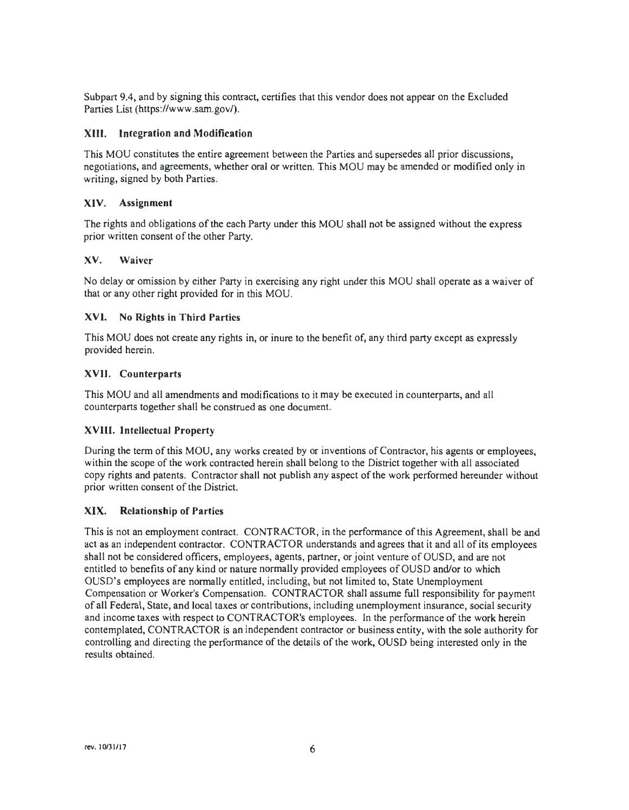Subpart 9.4, and by signing this contract, certifies that this vendor does not appear on the Excluded Parties List (https://www.sam.gov/).

#### **XIII. Integration and Modification**

This MOU constitutes the entire agreement between the Parties and supersedes alt prior discussions, negotiations, and agreements, whether oral or written. This MOU may be amended or modified only in writing, signed by both Parties.

#### **XIV. Assignment**

The rights and obligations of the each Party under this MOU shall not be assigned without the express prior written consent of the other Party.

#### **XV. Waiver**

No delay or omission by either Party in exercising any right under this MOU shall operate as a waiver of that or any other right provided for in this MOU .

#### **XVI. No Rights in Third Parties**

This MOU does not create any rights in, or inure to the benefit of, any third party except as expressly provided herein.

#### **XVII. Counterparts**

This MOU and all amendments and modifications to it may be executed in counterparts, and all counterparts together shall he construed as one document.

#### **XVIII. Intellectual Property**

During the term of this MOU, any works created by or inventions of Contractor, his agents or employees, within the scope of the work contracted herein shall belong to the District together with alt associated copy rights and patents. Contractor shall not publish any aspect of the work performed hereunder without prior written consent of the District.

#### **XIX. Relationship of Parties**

This is not an employment contract. CONTRACTOR, in the performance of this Agreement, shall be and act as an independent contractor. CONTRACTOR understands and agrees that it and all of its employees shall not be considered officers, employees, agents, partner, or joint venture of OUSD, and are not entitled to benefits of any kind or nature normally provided employees of OUSD and/or to which OUSD's employees are normally entitled, including, but not limited to, State Unemployment Compensation or Worker's Compensation. CONTRACTOR shall assume full responsibility for payment of all Federal, State, and local taxes or contributions, including unemployment insurance, social security and income taxes with respect to CONTRACTOR's employees. In the performance of the work herein contemplated, CONTRACTOR is an independent contractor or business entity, with the sole authority for controlling and directing the performance of the details of the work, OUSD being interested only in the results obtained.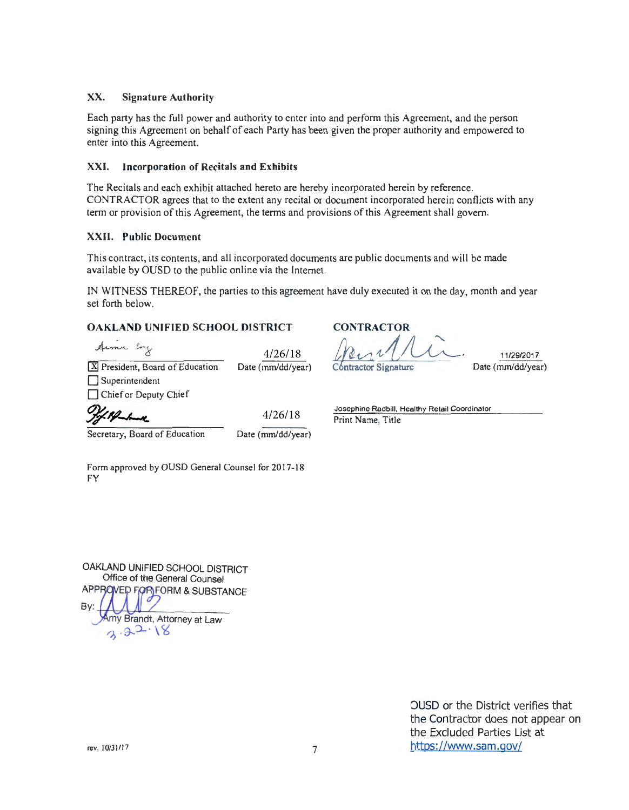#### XX. Signature Authority

Each party has the full power and authority to enter into and perform this Agreement, and the person signing this Agreement on behalf of each Party has been given the proper authority and empowered to enter into this Agreement.

#### XXI. Incorporation of Recitals and Exhibits

The Recitals and each exhibit attached hereto are hereby incorporated herein by reference. CONTRACTOR agrees that to the extent any recital or document incorporated herein conflicts with any term or provision of this Agreement, the terms and provisions of this Agreement shall govern.

#### **XXII.** Public Document

This contract, its contents, and all incorporated documents are public documents and will be made available by OUSD to the public online via the Internet.

IN WITNESS THEREOF, the parties to this agreement have duly executed it on the day, month and year set forth below.

#### **OAKLAND UNIFIED SCHOOL DISTRICT**

Armer Eng

ate (mm/dd/year) 4/26/18

| X President, Board of Education | D: |
|---------------------------------|----|
| $\Box$ Superintendent           |    |
| Chief or Deputy Chief           |    |
| m,                              |    |

Secretary, Board of Education

Date (mm/dd/year) 4/26/18

**CONTRACTOR** *!h.~~1~.*  Contractor Signature

11/29/2017 Date (mm/dd/year)

Josephine Radbill, Healthy Retail Coordinator Print Name, Title

Form approved by OUSD General Counsel for 2017-18 FY

OAKLAND UNIFIED SCHOOL DISTRICT Office of the General Counsel APPROVED FOR FORM & SUBSTANCE<br>By:<br>Amy Brandt. Attorney at Law my Brandt, Attorney at Law  $3.22.18$ 

> OUSD or the District verifies that the Contractor does not appear on the Excluded Parties List at https://www.sam.gov/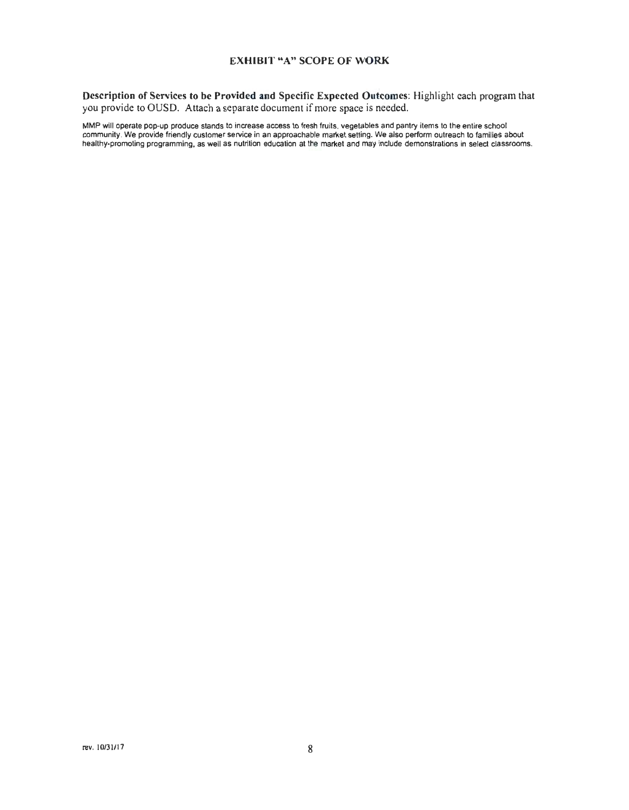#### **EXHIBIT "A" SCOPE OF WORK**

**Description of Services to be Provided and Specific Expected Outcomes:** Highlight each program that you provide to OUSD. Attach a separate document if more space is needed.

MMP will operate pop-up produce stands to increase access to fresh fruits, vegetables and pantry items to the entire school community. We provide friendly customer service in an approachable market setting. We also perform outreach to families about healthy-promoting programming, as well as nutrition education at the market and may include demonstrations in select classrooms.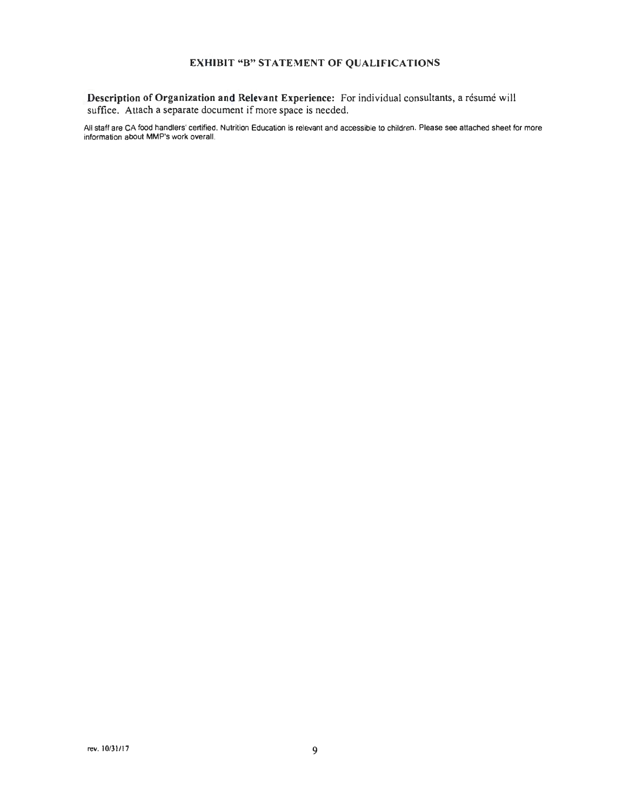#### **EXHIBIT "B" STATEMENT OF QUALIFICATIONS**

**Description of Organization and Relevant Experience:** For individual consultants, a résumé will suffice. Attach a separate document if more space is needed.

All staff are CA food handlers' certified. Nutrition Education is relevant and accessible to children. Please see attached sheet for more information about MMP's work overall.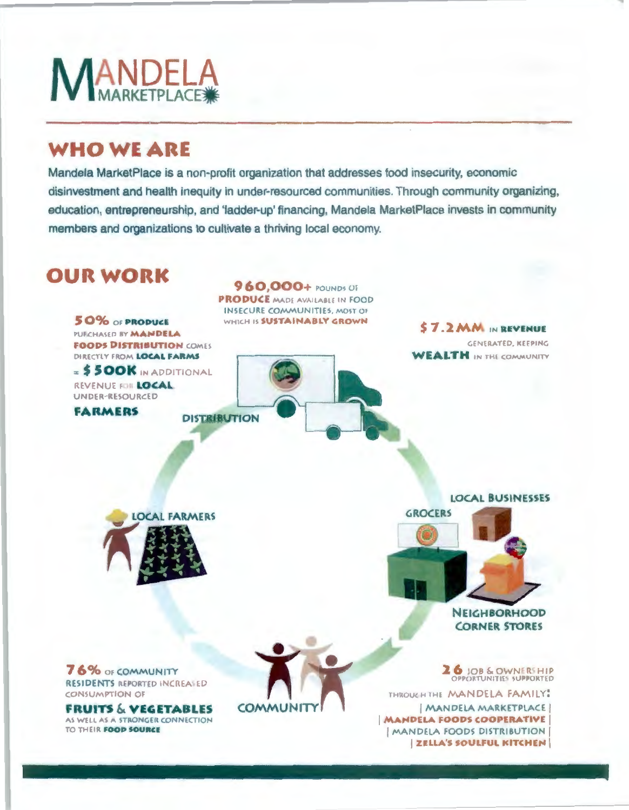

### **WHO WEARE**

Mandela MarketPlace is a non-profit organization that addresses food insecurity, economic disinvestment and health inequity in under·resourced communities. Through community organizing, education, entrepreneurship, and 'ladder-up' financing, Mandela MarketPlace invests in community members and organizations to cultivate a thriving local economy.

# **OUR WORK**

DIRECTLY FROM **LOCAL FARMS**  $=$  **\$500K** IN ADDITIONAL

**FARMERS** DISTRIBUTION

REVENUE fOII **LOCAL.**  UNDER-REcSOURCED

**S 0%** or **PAOPUC:E**  PUI CHASED BY **MANDELA FOODS DISTRIBUTION COMES PRODUCE** MADE AVAILABLE IN FOOD INSECURE COMMUNITIES, MOST OF

WHICH IS **SUSTAINABLY GROWN** 

**9 60,000+** POUNDS l)f

\$ **7 . 2 MM** IN **<sup>R</sup> EVENUE**  GENERATED, KEEPING **WEALTH** IN THE COMMUNITY

**LOCAL FARMERS** 

**LOCAL BUSI NESSES** 



**GROCERS** 

**NEIGH BORHOOD CORNER STORES** 

**2 6 JOB & OWNERSHIP**<br>OPPORTUNITIES SUPPORTED

THROUGH THE MANDELA FAMILY:

I MANDELA MARKETPLACE **IMANDELA FOODS COOPERATIVE** I MANDELA FOODS DISTRIBUTION **I ZELLA'S SOULFUL KITCHEN** 

**7 6% OF COMMUNITY** RESIDENTS REPORTED INCREASED **CONSUMPTION OF** 

**FRUITS & VEGETABLES AS WELL AS A STRONGER CONNECTION TO THEIR FOOD SOURCE** 

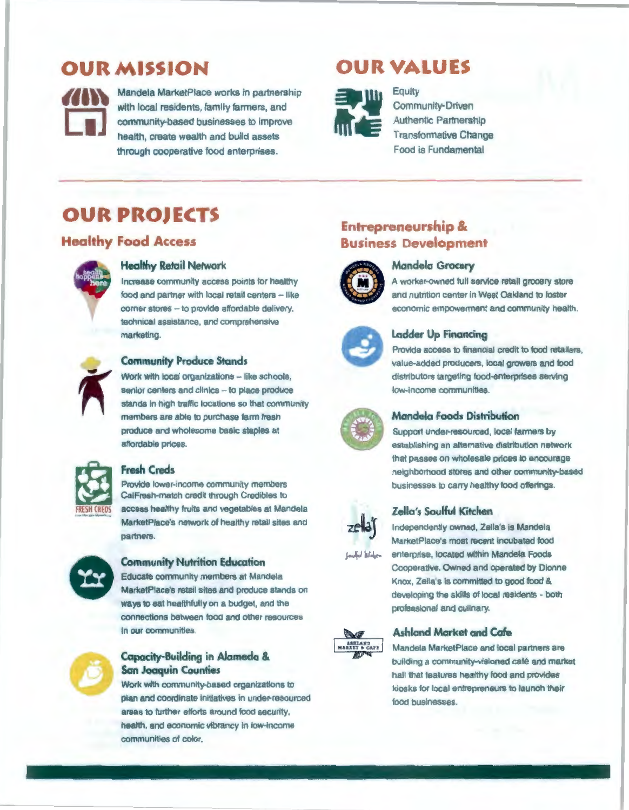### **OUR MISSION**



**Mandela MarketPlace works in partnership**<br>with local residents, family farmers, and community-based businesses to improve health, create wealth and build assets through cooperative food enterprises.

### **OUR VALUES**



Equity Community-Driven Authentic Partnership Transformative Change Food is Fundamental

## **OUR PROJECTS**

### **Healthy Food Access**



#### **Healthy Retail Network**

Increase community access points tor healthy food and partner with local retail centers - like comer stores - to provide affordable delivery, technical assistance, and comprehensive marketing.



#### **Community Produce Stands**

Work with local organizations -- like schools, senior centers and clinics -- to place produce stands in high traffic locations so that community members are able to purchase farm fresh produce and wholesome basic staples at affordable prices



#### **Fresh Creds**

Provide lower-income community members CalFresh•match credit through Credibles to access healthy fruits and vegetables at Mandela MarketPlace's network of healthy retail sites and partners.



#### **Community Nutrition Education**

Educate community members at Mandela MarketPlace's retail sites and produce stands on ways to eat healthfully on a budget, and the connections between food and other resources in our communities.



#### **Capacity-Building in Alameda** & **San Joaquin Counties**

Work with community-based organizations to plan and coordinate initiatives in under-resourced **areas** to further efforts around food security, health, and economic vibrancy in low-income communities of color.

### **Entrepreneurship Business Development**



#### **Mandela Grocery**

A worker-owned full service retail grocery store and nutrition center in West Oakland to foster economic empowerment and community health.



#### **Ladder Up Financing**

Provide access to financial credit to food retailers, value-added producers, local growers and food distributors targeting food-enterprises serving low-income communities.



#### **Mondela Foods Distribution**

Support under-resourced, local farmers by establishing an alternative distribution network that passes on wholesale prices to encourage neighborhood stores and other community-based businesses to carry healthy food offerings.



#### **Zella's Soulful Kitchen**

Independently owned, Zella's is Mandela MarketPlace's most recent Incubated food enterprise, located within Mandela Foods Cooperative. Owned and operated by Dionne Knox, Zella's is committed to good food & developing the skllls of local residents • both professional and culinary.



#### **Ashland Market and Cafe**

Mandela MarketPlace and local partners are building a community-visioned café and market hall that features healthy food and provides kiosks for local entrepreneurs to launch their food businesses.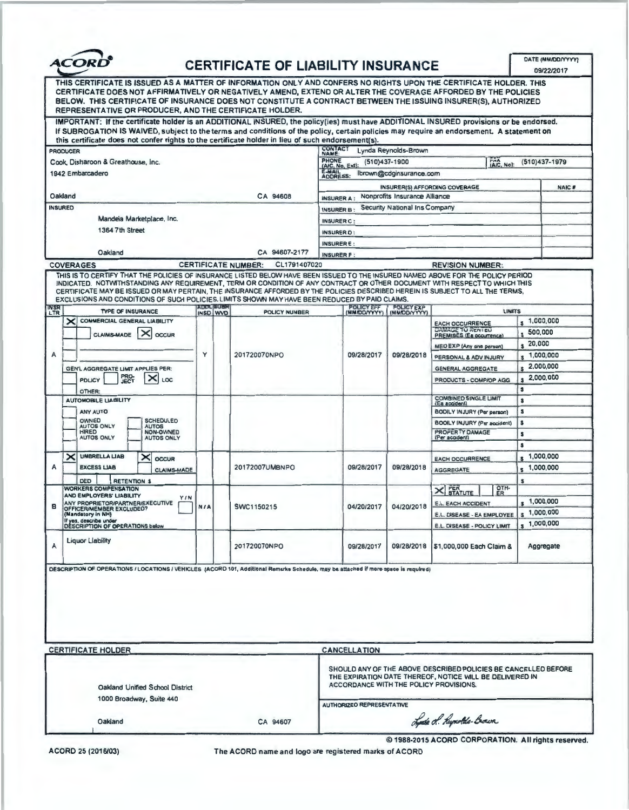| <b>ACORD</b> |
|--------------|
|              |

### **CERTIFICATE OF LIABILITY INSURANCE**

|                                                                                                                                                                                                                                                                                                                                                                                                                  |                                                                                                                                                                                                                                                                                                                                                                                                                                                                                                    |                              |                                                                                                                                                                      |                                                    |                                   |                                                     |                                 | 09/22/2017    |
|------------------------------------------------------------------------------------------------------------------------------------------------------------------------------------------------------------------------------------------------------------------------------------------------------------------------------------------------------------------------------------------------------------------|----------------------------------------------------------------------------------------------------------------------------------------------------------------------------------------------------------------------------------------------------------------------------------------------------------------------------------------------------------------------------------------------------------------------------------------------------------------------------------------------------|------------------------------|----------------------------------------------------------------------------------------------------------------------------------------------------------------------|----------------------------------------------------|-----------------------------------|-----------------------------------------------------|---------------------------------|---------------|
| THIS CERTIFICATE IS ISSUED AS A MATTER OF INFORMATION ONLY AND CONFERS NO RIGHTS UPON THE CERTIFICATE HOLDER. THIS<br>CERTIFICATE DOES NOT AFFIRMATIVELY OR NEGATIVELY AMEND, EXTEND OR ALTER THE COVERAGE AFFORDED BY THE POLICIES<br>BELOW. THIS CERTIFICATE OF INSURANCE DOES NOT CONSTITUTE A CONTRACT BETWEEN THE ISSUING INSURER(S), AUTHORIZED<br>REPRESENTATIVE OR PRODUCER, AND THE CERTIFICATE HOLDER. |                                                                                                                                                                                                                                                                                                                                                                                                                                                                                                    |                              |                                                                                                                                                                      |                                                    |                                   |                                                     |                                 |               |
|                                                                                                                                                                                                                                                                                                                                                                                                                  | IMPORTANT: If the certificate holder is an ADDITIONAL INSURED, the policy(ies) must have ADDITIONAL INSURED provisions or be endorsed.<br>If SUBROGATION IS WAIVED, subject to the terms and conditions of the policy, certain policies may require an endorsement. A statement on                                                                                                                                                                                                                 |                              |                                                                                                                                                                      |                                                    |                                   |                                                     |                                 |               |
|                                                                                                                                                                                                                                                                                                                                                                                                                  | this certificate does not confer rights to the certificate holder in lieu of such endorsement(s).                                                                                                                                                                                                                                                                                                                                                                                                  |                              |                                                                                                                                                                      |                                                    |                                   |                                                     |                                 |               |
| <b>PRODUCER</b>                                                                                                                                                                                                                                                                                                                                                                                                  |                                                                                                                                                                                                                                                                                                                                                                                                                                                                                                    |                              |                                                                                                                                                                      | CONTACT<br>NAME:                                   | Lynda Reynolds-Brown              |                                                     |                                 |               |
|                                                                                                                                                                                                                                                                                                                                                                                                                  | Cook, Disharoon & Greathouse, Inc.                                                                                                                                                                                                                                                                                                                                                                                                                                                                 |                              |                                                                                                                                                                      | <b>PHONE</b><br>(A/C, No, Ext):                    | (510)437-1900                     | THA.<br>(A/C, No):                                  |                                 | (510)437-1979 |
|                                                                                                                                                                                                                                                                                                                                                                                                                  | 1942 Embarcadero                                                                                                                                                                                                                                                                                                                                                                                                                                                                                   |                              |                                                                                                                                                                      | E-MAIL<br><b>ADDRESS:</b>                          | Ibrown@cdginsurance.com           |                                                     |                                 |               |
|                                                                                                                                                                                                                                                                                                                                                                                                                  |                                                                                                                                                                                                                                                                                                                                                                                                                                                                                                    |                              |                                                                                                                                                                      |                                                    |                                   | <b>INSURER(S) AFFORDING COVERAGE</b>                |                                 | <b>NAIC#</b>  |
| Oakland                                                                                                                                                                                                                                                                                                                                                                                                          |                                                                                                                                                                                                                                                                                                                                                                                                                                                                                                    |                              | CA 94608                                                                                                                                                             | Nonprofits Insurance Alliance<br><b>INSURER A:</b> |                                   |                                                     |                                 |               |
| <b>INSURED</b>                                                                                                                                                                                                                                                                                                                                                                                                   |                                                                                                                                                                                                                                                                                                                                                                                                                                                                                                    |                              |                                                                                                                                                                      | Security National Ins Company<br><b>INSURER B:</b> |                                   |                                                     |                                 |               |
|                                                                                                                                                                                                                                                                                                                                                                                                                  | Mandela Marketplace, Inc.                                                                                                                                                                                                                                                                                                                                                                                                                                                                          |                              |                                                                                                                                                                      | <b>INSURER C:</b>                                  |                                   |                                                     |                                 |               |
|                                                                                                                                                                                                                                                                                                                                                                                                                  | 1364 7th Street                                                                                                                                                                                                                                                                                                                                                                                                                                                                                    |                              |                                                                                                                                                                      | <b>INSURER D:</b>                                  |                                   |                                                     |                                 |               |
|                                                                                                                                                                                                                                                                                                                                                                                                                  |                                                                                                                                                                                                                                                                                                                                                                                                                                                                                                    |                              |                                                                                                                                                                      | <b>INSURERE:</b>                                   |                                   |                                                     |                                 |               |
|                                                                                                                                                                                                                                                                                                                                                                                                                  | Oakland                                                                                                                                                                                                                                                                                                                                                                                                                                                                                            |                              | CA 94607-2177                                                                                                                                                        | <b>INSURER F:</b>                                  |                                   |                                                     |                                 |               |
|                                                                                                                                                                                                                                                                                                                                                                                                                  | <b>COVERAGES</b>                                                                                                                                                                                                                                                                                                                                                                                                                                                                                   |                              | CL1791407020<br><b>CERTIFICATE NUMBER:</b>                                                                                                                           |                                                    |                                   | <b>REVISION NUMBER:</b>                             |                                 |               |
|                                                                                                                                                                                                                                                                                                                                                                                                                  | THIS IS TO CERTIFY THAT THE POLICIES OF INSURANCE LISTED BELOW HAVE BEEN ISSUED TO THE INSURED NAMED ABOVE FOR THE POLICY PERIOD<br>INDICATED. NOTWITHSTANDING ANY REQUIREMENT, TERM OR CONDITION OF ANY CONTRACT OR OTHER DOCUMENT WITH RESPECT TO WHICH THIS<br>CERTIFICATE MAY BE ISSUED OR MAY PERTAIN, THE INSURANCE AFFORDED BY THE POLICIES DESCRIBED HEREIN IS SUBJECT TO ALL THE TERMS,<br>EXCLUSIONS AND CONDITIONS OF SUCH POLICIES, LIMITS SHOWN MAY HAVE BEEN REDUCED BY PAID CLAIMS. |                              |                                                                                                                                                                      |                                                    |                                   |                                                     |                                 |               |
| <b>INSR</b><br>LTR                                                                                                                                                                                                                                                                                                                                                                                               | <b>TYPE OF INSURANCE</b>                                                                                                                                                                                                                                                                                                                                                                                                                                                                           | <b>ADOL SUBR</b><br>INSD WVD | POLICY NUMBER                                                                                                                                                        | <b>POLICY EFF</b><br>(MM/DD/YYYY)                  | <b>POLICY EXP</b><br>(MM/DD/YYYY) | LIMITS                                              |                                 |               |
|                                                                                                                                                                                                                                                                                                                                                                                                                  | COMMERCIAL GENERAL LIABILITY<br>×                                                                                                                                                                                                                                                                                                                                                                                                                                                                  |                              |                                                                                                                                                                      |                                                    |                                   | <b>EACH OCCURRENCE</b><br><b>DAMAGE TO RENIEU</b>   | s 1,000,000                     |               |
|                                                                                                                                                                                                                                                                                                                                                                                                                  | ×<br><b>CLAIMS-MADE</b><br><b>OCCUR</b>                                                                                                                                                                                                                                                                                                                                                                                                                                                            |                              |                                                                                                                                                                      |                                                    |                                   | <b>PREMISES (Ea accurrenca)</b>                     | 500,000                         |               |
|                                                                                                                                                                                                                                                                                                                                                                                                                  |                                                                                                                                                                                                                                                                                                                                                                                                                                                                                                    |                              |                                                                                                                                                                      |                                                    |                                   | <b>MEDEXP (Any one person)</b>                      | 20,000                          |               |
| Α                                                                                                                                                                                                                                                                                                                                                                                                                |                                                                                                                                                                                                                                                                                                                                                                                                                                                                                                    | Y                            | 201720070NPO                                                                                                                                                         | 09/28/2017                                         | 09/28/2018                        | PERSONAL & ADV INJURY                               | $\frac{1}{2}$ ,000,000          |               |
|                                                                                                                                                                                                                                                                                                                                                                                                                  | GEN'L AGGREGATE LIMIT APPLIES PER:                                                                                                                                                                                                                                                                                                                                                                                                                                                                 |                              |                                                                                                                                                                      |                                                    |                                   | <b>GENERAL AGGREGATE</b>                            |                                 | 2,000,000     |
|                                                                                                                                                                                                                                                                                                                                                                                                                  | <b>PRO-</b><br>JECT<br><b>PDLICY</b><br>LOC                                                                                                                                                                                                                                                                                                                                                                                                                                                        |                              |                                                                                                                                                                      |                                                    |                                   | <b>PRODUCTS - COMP/OP AGG</b>                       | $\mathbf{S}$                    | 2,000,000     |
|                                                                                                                                                                                                                                                                                                                                                                                                                  | OTHER:                                                                                                                                                                                                                                                                                                                                                                                                                                                                                             |                              |                                                                                                                                                                      |                                                    |                                   |                                                     | $\bullet$                       |               |
|                                                                                                                                                                                                                                                                                                                                                                                                                  | <b>AUTOMOBILE LIABILITY</b>                                                                                                                                                                                                                                                                                                                                                                                                                                                                        |                              |                                                                                                                                                                      |                                                    |                                   | <b>COMBINED SINGLE LIMIT</b><br>(Ea accident)       | $\bullet$                       |               |
|                                                                                                                                                                                                                                                                                                                                                                                                                  | ANY AUTO                                                                                                                                                                                                                                                                                                                                                                                                                                                                                           |                              |                                                                                                                                                                      |                                                    |                                   | BODILY INJURY (Per parson)                          | $\mathbf{s}$                    |               |
|                                                                                                                                                                                                                                                                                                                                                                                                                  | OWNED<br><b>SCHEDULED</b><br><b>AUTOS ONLY</b><br><b>AUTOS</b>                                                                                                                                                                                                                                                                                                                                                                                                                                     |                              |                                                                                                                                                                      |                                                    |                                   | BOOILY INJURY (Per accident)                        | $\bullet$                       |               |
|                                                                                                                                                                                                                                                                                                                                                                                                                  | NON-OWNED<br><b>HIRED</b><br><b>AUTOS ONLY</b><br><b>AUTOS ONLY</b>                                                                                                                                                                                                                                                                                                                                                                                                                                |                              |                                                                                                                                                                      |                                                    |                                   | <b>PROFERTY DAMAGE</b><br>(Per accident)            | $\overline{\phantom{a}}$        |               |
|                                                                                                                                                                                                                                                                                                                                                                                                                  |                                                                                                                                                                                                                                                                                                                                                                                                                                                                                                    |                              |                                                                                                                                                                      |                                                    |                                   |                                                     | \$                              |               |
|                                                                                                                                                                                                                                                                                                                                                                                                                  | <b>UMBRELLA LIAB</b><br>×<br>×<br><b>OCCUR</b>                                                                                                                                                                                                                                                                                                                                                                                                                                                     |                              |                                                                                                                                                                      |                                                    |                                   | <b>EACH OCCURRENCE</b>                              | 1,000,000<br>1,000,000          |               |
| A                                                                                                                                                                                                                                                                                                                                                                                                                | <b>EXCESS LIAB</b><br><b>CLAIMS-MADE</b>                                                                                                                                                                                                                                                                                                                                                                                                                                                           |                              | 20172007UMBNPO                                                                                                                                                       | 09/28/2017                                         | 09/28/2018                        | <b>AGGREGATE</b>                                    |                                 |               |
|                                                                                                                                                                                                                                                                                                                                                                                                                  | <b>DED</b><br><b>RETENTION \$</b><br><b>WORKERS COMPENSATION</b>                                                                                                                                                                                                                                                                                                                                                                                                                                   |                              |                                                                                                                                                                      |                                                    |                                   |                                                     | s                               |               |
|                                                                                                                                                                                                                                                                                                                                                                                                                  | AND EMPLOYERS' LIABILITY<br><b>YIN</b>                                                                                                                                                                                                                                                                                                                                                                                                                                                             | <b>N/A</b>                   |                                                                                                                                                                      |                                                    |                                   | OTH-<br><b>PER</b><br>STATUTE<br>✕∣                 |                                 |               |
| 8                                                                                                                                                                                                                                                                                                                                                                                                                | ANY PROPRIETOR/PARTNER/EXECUTIVE<br>OFFICER/MEMBER EXCLUDED?                                                                                                                                                                                                                                                                                                                                                                                                                                       |                              | SWC1150215                                                                                                                                                           | 04/20/2017                                         | 04/20/2018                        | <b>E.L. EACH ACCIDENT</b>                           | $_{e}$ 1,000,000                |               |
|                                                                                                                                                                                                                                                                                                                                                                                                                  | (Mandatory in NH)<br>If yes, describe under                                                                                                                                                                                                                                                                                                                                                                                                                                                        |                              |                                                                                                                                                                      |                                                    |                                   | E.L. DISEASE - EA EMPLOYEE                          | $s$ 1,000,000<br>$\,$ 1,000,000 |               |
|                                                                                                                                                                                                                                                                                                                                                                                                                  | <b>DESCRIPTION OF OPERATIONS below</b>                                                                                                                                                                                                                                                                                                                                                                                                                                                             |                              |                                                                                                                                                                      |                                                    |                                   | <b>E.L. DISEASE - POLICY LIMIT</b>                  |                                 |               |
| A                                                                                                                                                                                                                                                                                                                                                                                                                | <b>Liquor Liability</b><br>201720070NPO                                                                                                                                                                                                                                                                                                                                                                                                                                                            |                              |                                                                                                                                                                      | 09/28/2017                                         | 09/28/2018                        | \$1,000,000 Each Claim &                            |                                 | Aggregate     |
|                                                                                                                                                                                                                                                                                                                                                                                                                  | DESCRIPTION OF OPERATIONS / LOCATIONS / VEHICLES (ACORD 101, Additional Remarks Schedule, may be attached if more space is required)                                                                                                                                                                                                                                                                                                                                                               |                              |                                                                                                                                                                      |                                                    |                                   |                                                     |                                 |               |
|                                                                                                                                                                                                                                                                                                                                                                                                                  | <b>CERTIFICATE HOLDER</b>                                                                                                                                                                                                                                                                                                                                                                                                                                                                          |                              |                                                                                                                                                                      | <b>CANCELLATION</b>                                |                                   |                                                     |                                 |               |
|                                                                                                                                                                                                                                                                                                                                                                                                                  |                                                                                                                                                                                                                                                                                                                                                                                                                                                                                                    |                              |                                                                                                                                                                      |                                                    |                                   |                                                     |                                 |               |
| Oakland Unified School District<br>1000 Broadway, Suite 440                                                                                                                                                                                                                                                                                                                                                      |                                                                                                                                                                                                                                                                                                                                                                                                                                                                                                    |                              | SHOULD ANY OF THE ABOVE DESCRIBED POLICIES BE CANCELLED BEFORE<br>THE EXPIRATION DATE THEREOF, NOTICE WILL BE DELIVERED IN<br>ACCORDANCE WITH THE POLICY PROVISIONS. |                                                    |                                   |                                                     |                                 |               |
|                                                                                                                                                                                                                                                                                                                                                                                                                  |                                                                                                                                                                                                                                                                                                                                                                                                                                                                                                    |                              |                                                                                                                                                                      | <b>AUTHORIZED REPRESENTATIVE</b>                   |                                   |                                                     |                                 |               |
|                                                                                                                                                                                                                                                                                                                                                                                                                  | Oakland                                                                                                                                                                                                                                                                                                                                                                                                                                                                                            |                              | CA 94607                                                                                                                                                             |                                                    |                                   | Lots of Reynolds-Boarn                              |                                 |               |
|                                                                                                                                                                                                                                                                                                                                                                                                                  |                                                                                                                                                                                                                                                                                                                                                                                                                                                                                                    |                              |                                                                                                                                                                      |                                                    |                                   | © 1988-2015 ACORD CORPORATION. All rights reserved. |                                 |               |

ACORD 25 (2016/03) The ACORD name and logo are registered marks of ACORD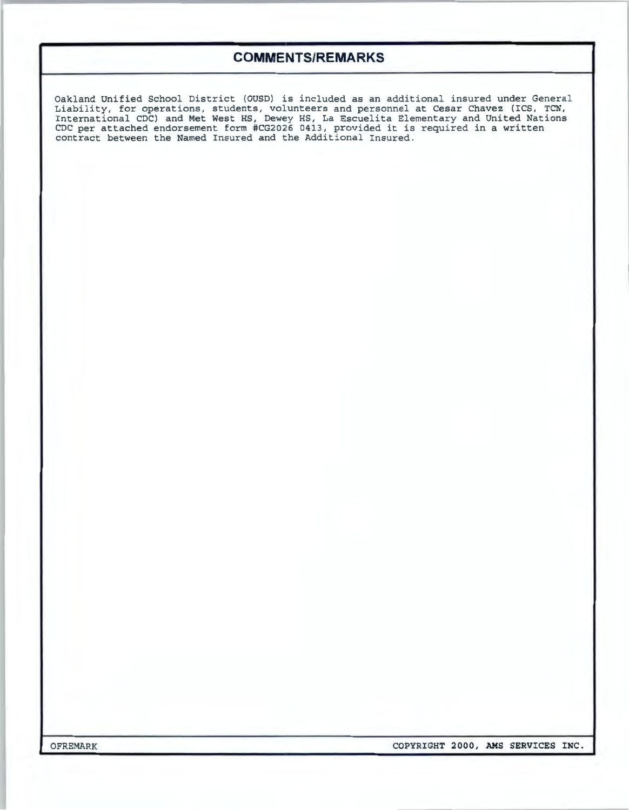### $COMMENTS/REMARKS$

Oakland Unified School District (OUSD) is included as an additional insured under General Liability, for operations, students, volunteers and personnel at Cesar Chavez (ICS, TCN, International CDC) and Met West HS, Dewey HS, La Escuelita Elementary and United Nations<br>CDC per attached endorsement form #CG2026 0413, provided it is required in a written contract between the Named Insured and the Additional Insured.

OFREMARK **COPYRIGHT 2000, AMS SERVICES INC.**